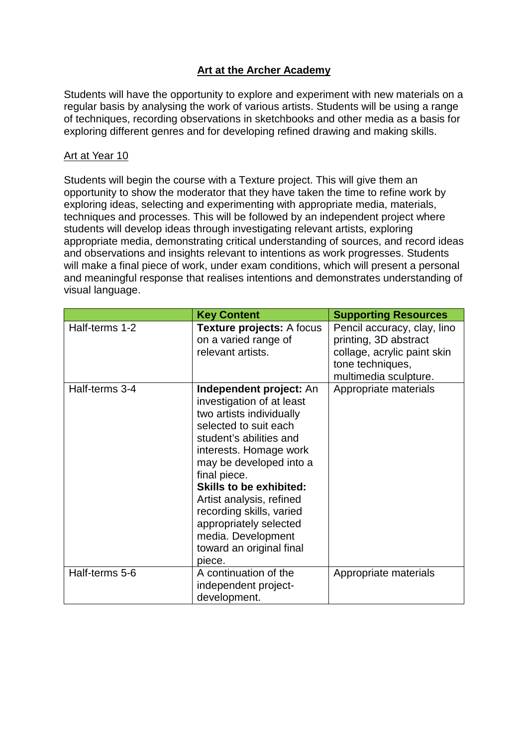# **Art at the Archer Academy**

Students will have the opportunity to explore and experiment with new materials on a regular basis by analysing the work of various artists. Students will be using a range of techniques, recording observations in sketchbooks and other media as a basis for exploring different genres and for developing refined drawing and making skills.

### Art at Year 10

Students will begin the course with a Texture project. This will give them an opportunity to show the moderator that they have taken the time to refine work by exploring ideas, selecting and experimenting with appropriate media, materials, techniques and processes. This will be followed by an independent project where students will develop ideas through investigating relevant artists, exploring appropriate media, demonstrating critical understanding of sources, and record ideas and observations and insights relevant to intentions as work progresses. Students will make a final piece of work, under exam conditions, which will present a personal and meaningful response that realises intentions and demonstrates understanding of visual language.

|                | <b>Key Content</b>                                                                                                                                                                                                                                                                                                                                                                        | <b>Supporting Resources</b>                                                                                                      |
|----------------|-------------------------------------------------------------------------------------------------------------------------------------------------------------------------------------------------------------------------------------------------------------------------------------------------------------------------------------------------------------------------------------------|----------------------------------------------------------------------------------------------------------------------------------|
| Half-terms 1-2 | <b>Texture projects: A focus</b><br>on a varied range of<br>relevant artists.                                                                                                                                                                                                                                                                                                             | Pencil accuracy, clay, lino<br>printing, 3D abstract<br>collage, acrylic paint skin<br>tone techniques,<br>multimedia sculpture. |
| Half-terms 3-4 | Independent project: An<br>investigation of at least<br>two artists individually<br>selected to suit each<br>student's abilities and<br>interests. Homage work<br>may be developed into a<br>final piece.<br><b>Skills to be exhibited:</b><br>Artist analysis, refined<br>recording skills, varied<br>appropriately selected<br>media. Development<br>toward an original final<br>piece. | Appropriate materials                                                                                                            |
| Half-terms 5-6 | A continuation of the<br>independent project-<br>development.                                                                                                                                                                                                                                                                                                                             | Appropriate materials                                                                                                            |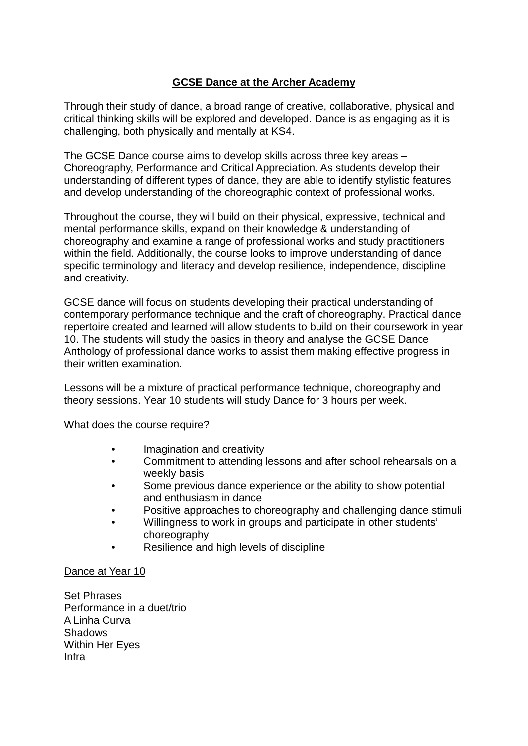## **GCSE Dance at the Archer Academy**

Through their study of dance, a broad range of creative, collaborative, physical and critical thinking skills will be explored and developed. Dance is as engaging as it is challenging, both physically and mentally at KS4.

The GCSE Dance course aims to develop skills across three key areas – Choreography, Performance and Critical Appreciation. As students develop their understanding of different types of dance, they are able to identify stylistic features and develop understanding of the choreographic context of professional works.

Throughout the course, they will build on their physical, expressive, technical and mental performance skills, expand on their knowledge & understanding of choreography and examine a range of professional works and study practitioners within the field. Additionally, the course looks to improve understanding of dance specific terminology and literacy and develop resilience, independence, discipline and creativity.

GCSE dance will focus on students developing their practical understanding of contemporary performance technique and the craft of choreography. Practical dance repertoire created and learned will allow students to build on their coursework in year 10. The students will study the basics in theory and analyse the GCSE Dance Anthology of professional dance works to assist them making effective progress in their written examination.

Lessons will be a mixture of practical performance technique, choreography and theory sessions. Year 10 students will study Dance for 3 hours per week.

What does the course require?

- Imagination and creativity
- Commitment to attending lessons and after school rehearsals on a weekly basis
- Some previous dance experience or the ability to show potential and enthusiasm in dance
- Positive approaches to choreography and challenging dance stimuli
- Willingness to work in groups and participate in other students' choreography
- Resilience and high levels of discipline

#### Dance at Year 10

Set Phrases Performance in a duet/trio A Linha Curva Shadows Within Her Eyes Infra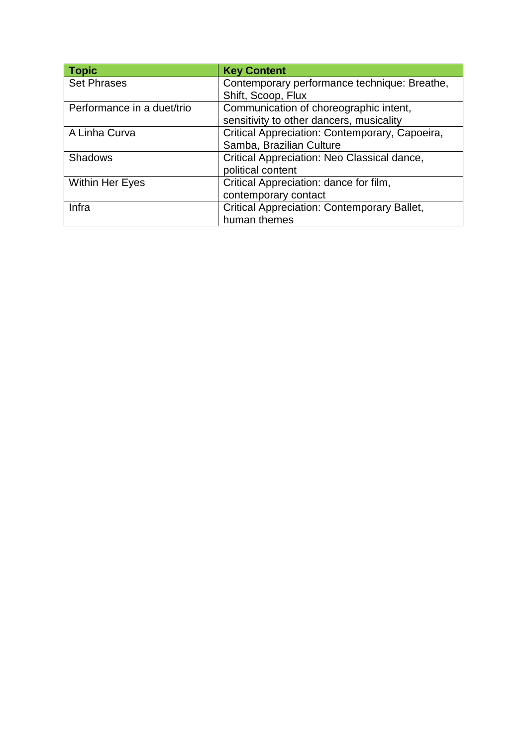| <b>Topic</b>               | <b>Key Content</b>                                 |  |
|----------------------------|----------------------------------------------------|--|
| <b>Set Phrases</b>         | Contemporary performance technique: Breathe,       |  |
|                            | Shift, Scoop, Flux                                 |  |
| Performance in a duet/trio | Communication of choreographic intent,             |  |
|                            | sensitivity to other dancers, musicality           |  |
| A Linha Curva              | Critical Appreciation: Contemporary, Capoeira,     |  |
|                            | Samba, Brazilian Culture                           |  |
| <b>Shadows</b>             | Critical Appreciation: Neo Classical dance,        |  |
|                            | political content                                  |  |
| <b>Within Her Eyes</b>     | Critical Appreciation: dance for film,             |  |
|                            | contemporary contact                               |  |
| Infra                      | <b>Critical Appreciation: Contemporary Ballet,</b> |  |
|                            | human themes                                       |  |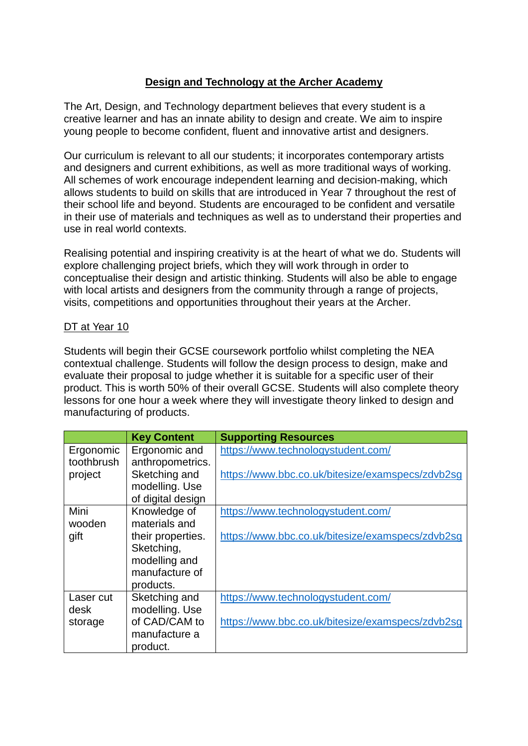# **Design and Technology at the Archer Academy**

The Art, Design, and Technology department believes that every student is a creative learner and has an innate ability to design and create. We aim to inspire young people to become confident, fluent and innovative artist and designers.

Our curriculum is relevant to all our students; it incorporates contemporary artists and designers and current exhibitions, as well as more traditional ways of working. All schemes of work encourage independent learning and decision-making, which allows students to build on skills that are introduced in Year 7 throughout the rest of their school life and beyond. Students are encouraged to be confident and versatile in their use of materials and techniques as well as to understand their properties and use in real world contexts.

Realising potential and inspiring creativity is at the heart of what we do. Students will explore challenging project briefs, which they will work through in order to conceptualise their design and artistic thinking. Students will also be able to engage with local artists and designers from the community through a range of projects, visits, competitions and opportunities throughout their years at the Archer.

### DT at Year 10

Students will begin their GCSE coursework portfolio whilst completing the NEA contextual challenge. Students will follow the design process to design, make and evaluate their proposal to judge whether it is suitable for a specific user of their product. This is worth 50% of their overall GCSE. Students will also complete theory lessons for one hour a week where they will investigate theory linked to design and manufacturing of products.

|            | <b>Key Content</b> | <b>Supporting Resources</b>                      |
|------------|--------------------|--------------------------------------------------|
| Ergonomic  | Ergonomic and      | https://www.technologystudent.com/               |
| toothbrush | anthropometrics.   |                                                  |
| project    | Sketching and      | https://www.bbc.co.uk/bitesize/examspecs/zdvb2sg |
|            | modelling. Use     |                                                  |
|            | of digital design  |                                                  |
| Mini       | Knowledge of       | https://www.technologystudent.com/               |
| wooden     | materials and      |                                                  |
| gift       | their properties.  | https://www.bbc.co.uk/bitesize/examspecs/zdvb2sg |
|            | Sketching,         |                                                  |
|            | modelling and      |                                                  |
|            | manufacture of     |                                                  |
|            | products.          |                                                  |
| Laser cut  | Sketching and      | https://www.technologystudent.com/               |
| desk       | modelling. Use     |                                                  |
| storage    | of CAD/CAM to      | https://www.bbc.co.uk/bitesize/examspecs/zdvb2sg |
|            | manufacture a      |                                                  |
|            | product.           |                                                  |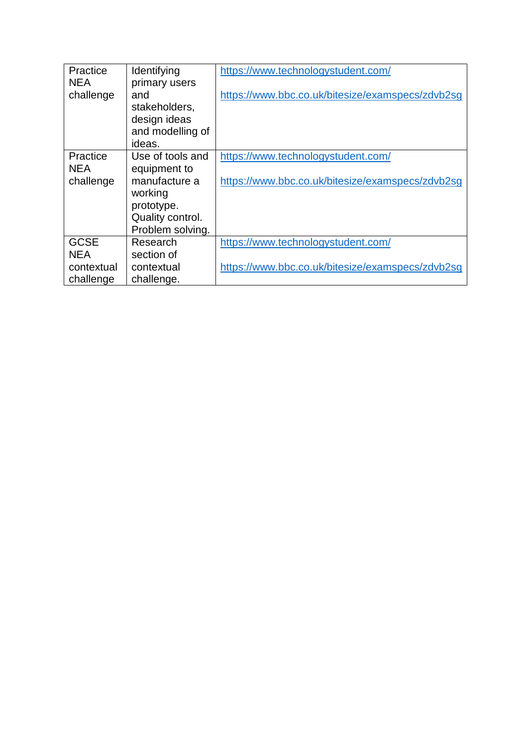| Practice    | Identifying      | https://www.technologystudent.com/               |
|-------------|------------------|--------------------------------------------------|
| <b>NEA</b>  | primary users    |                                                  |
| challenge   | and              | https://www.bbc.co.uk/bitesize/examspecs/zdvb2sg |
|             | stakeholders,    |                                                  |
|             | design ideas     |                                                  |
|             | and modelling of |                                                  |
|             | ideas.           |                                                  |
| Practice    | Use of tools and | https://www.technologystudent.com/               |
| <b>NEA</b>  | equipment to     |                                                  |
| challenge   | manufacture a    | https://www.bbc.co.uk/bitesize/examspecs/zdvb2sg |
|             | working          |                                                  |
|             | prototype.       |                                                  |
|             | Quality control. |                                                  |
|             | Problem solving. |                                                  |
| <b>GCSE</b> | Research         | https://www.technologystudent.com/               |
| <b>NEA</b>  | section of       |                                                  |
| contextual  | contextual       | https://www.bbc.co.uk/bitesize/examspecs/zdvb2sg |
| challenge   | challenge.       |                                                  |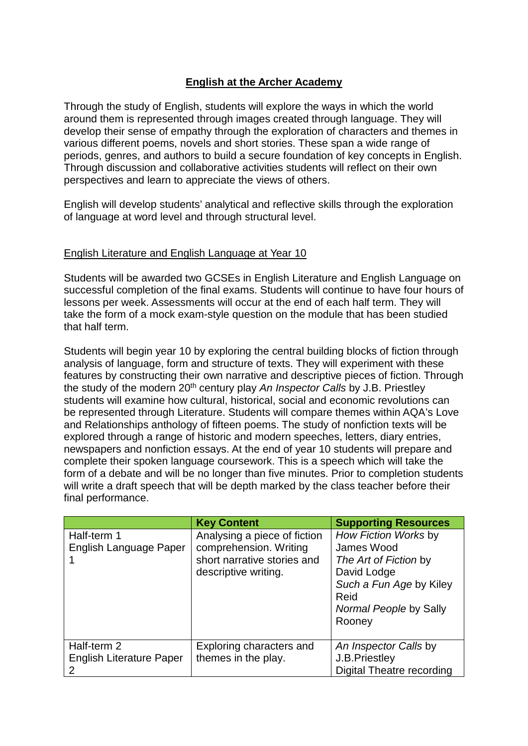# **English at the Archer Academy**

Through the study of English, students will explore the ways in which the world around them is represented through images created through language. They will develop their sense of empathy through the exploration of characters and themes in various different poems, novels and short stories. These span a wide range of periods, genres, and authors to build a secure foundation of key concepts in English. Through discussion and collaborative activities students will reflect on their own perspectives and learn to appreciate the views of others.

English will develop students' analytical and reflective skills through the exploration of language at word level and through structural level.

#### English Literature and English Language at Year 10

Students will be awarded two GCSEs in English Literature and English Language on successful completion of the final exams. Students will continue to have four hours of lessons per week. Assessments will occur at the end of each half term. They will take the form of a mock exam-style question on the module that has been studied that half term.

Students will begin year 10 by exploring the central building blocks of fiction through analysis of language, form and structure of texts. They will experiment with these features by constructing their own narrative and descriptive pieces of fiction. Through the study of the modern 20<sup>th</sup> century play *An Inspector Calls* by J.B. Priestley students will examine how cultural, historical, social and economic revolutions can be represented through Literature. Students will compare themes within AQA's Love and Relationships anthology of fifteen poems. The study of nonfiction texts will be explored through a range of historic and modern speeches, letters, diary entries, newspapers and nonfiction essays. At the end of year 10 students will prepare and complete their spoken language coursework. This is a speech which will take the form of a debate and will be no longer than five minutes. Prior to completion students will write a draft speech that will be depth marked by the class teacher before their final performance.

|                                       | <b>Key Content</b>                                                                                            | <b>Supporting Resources</b>                                                                                                                       |
|---------------------------------------|---------------------------------------------------------------------------------------------------------------|---------------------------------------------------------------------------------------------------------------------------------------------------|
| Half-term 1<br>English Language Paper | Analysing a piece of fiction<br>comprehension. Writing<br>short narrative stories and<br>descriptive writing. | How Fiction Works by<br>James Wood<br>The Art of Fiction by<br>David Lodge<br>Such a Fun Age by Kiley<br>Reid<br>Normal People by Sally<br>Rooney |
|                                       |                                                                                                               |                                                                                                                                                   |
| Half-term 2                           | Exploring characters and                                                                                      | An Inspector Calls by                                                                                                                             |
| <b>English Literature Paper</b>       | themes in the play.                                                                                           | J.B. Priestley                                                                                                                                    |
|                                       |                                                                                                               | Digital Theatre recording                                                                                                                         |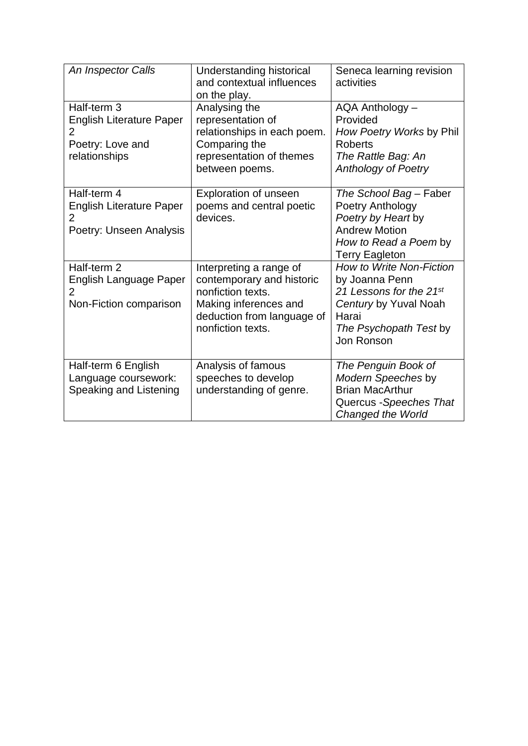| An Inspector Calls                                                                                    | Understanding historical<br>and contextual influences<br>on the play.                                                                                 | Seneca learning revision<br>activities                                                                                                                 |
|-------------------------------------------------------------------------------------------------------|-------------------------------------------------------------------------------------------------------------------------------------------------------|--------------------------------------------------------------------------------------------------------------------------------------------------------|
| Half-term 3<br><b>English Literature Paper</b><br>$\overline{2}$<br>Poetry: Love and<br>relationships | Analysing the<br>representation of<br>relationships in each poem.<br>Comparing the<br>representation of themes<br>between poems.                      | AQA Anthology -<br>Provided<br>How Poetry Works by Phil<br><b>Roberts</b><br>The Rattle Bag: An<br><b>Anthology of Poetry</b>                          |
| Half-term 4<br><b>English Literature Paper</b><br>$\overline{2}$<br>Poetry: Unseen Analysis           | <b>Exploration of unseen</b><br>poems and central poetic<br>devices.                                                                                  | The School Bag - Faber<br>Poetry Anthology<br>Poetry by Heart by<br><b>Andrew Motion</b><br>How to Read a Poem by<br><b>Terry Eagleton</b>             |
| Half-term 2<br><b>English Language Paper</b><br>$\overline{2}$<br>Non-Fiction comparison              | Interpreting a range of<br>contemporary and historic<br>nonfiction texts.<br>Making inferences and<br>deduction from language of<br>nonfiction texts. | <b>How to Write Non-Fiction</b><br>by Joanna Penn<br>21 Lessons for the 21st<br>Century by Yuval Noah<br>Harai<br>The Psychopath Test by<br>Jon Ronson |
| Half-term 6 English<br>Language coursework:<br>Speaking and Listening                                 | Analysis of famous<br>speeches to develop<br>understanding of genre.                                                                                  | The Penguin Book of<br>Modern Speeches by<br><b>Brian MacArthur</b><br>Quercus - Speeches That<br><b>Changed the World</b>                             |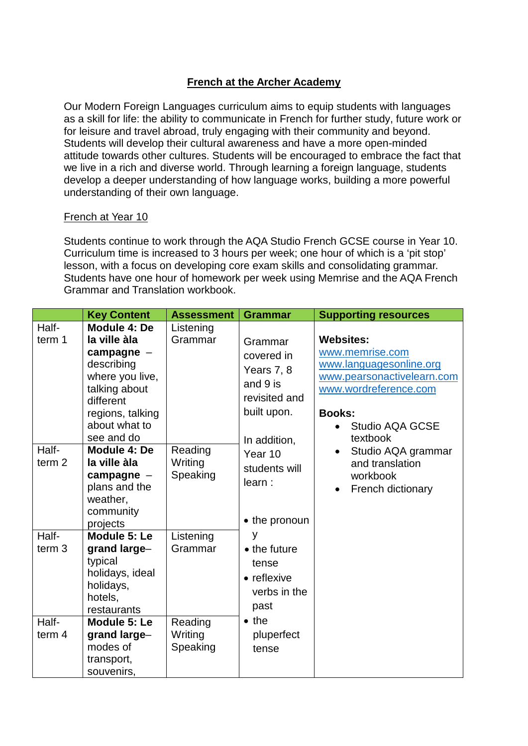## **French at the Archer Academy**

Our Modern Foreign Languages curriculum aims to equip students with languages as a skill for life: the ability to communicate in French for further study, future work or for leisure and travel abroad, truly engaging with their community and beyond. Students will develop their cultural awareness and have a more open-minded attitude towards other cultures. Students will be encouraged to embrace the fact that we live in a rich and diverse world. Through learning a foreign language, students develop a deeper understanding of how language works, building a more powerful understanding of their own language.

#### French at Year 10

Students continue to work through the AQA Studio French GCSE course in Year 10. Curriculum time is increased to 3 hours per week; one hour of which is a 'pit stop' lesson, with a focus on developing core exam skills and consolidating grammar. Students have one hour of homework per week using Memrise and the AQA French Grammar and Translation workbook.

|                            | <b>Key Content</b>                                                                                                                                             | <b>Assessment</b>              | <b>Grammar</b>                                                                                  | <b>Supporting resources</b>                                                                                                                                           |
|----------------------------|----------------------------------------------------------------------------------------------------------------------------------------------------------------|--------------------------------|-------------------------------------------------------------------------------------------------|-----------------------------------------------------------------------------------------------------------------------------------------------------------------------|
| Half-<br>term 1            | Module 4: De<br>la ville àla<br>campagne $-$<br>describing<br>where you live,<br>talking about<br>different<br>regions, talking<br>about what to<br>see and do | Listening<br>Grammar           | Grammar<br>covered in<br>Years 7, 8<br>and 9 is<br>revisited and<br>built upon.<br>In addition, | <b>Websites:</b><br>www.memrise.com<br>www.languagesonline.org<br>www.pearsonactivelearn.com<br>www.wordreference.com<br><b>Books:</b><br>Studio AQA GCSE<br>textbook |
| Half-<br>term <sub>2</sub> | Module 4: De<br>la ville àla<br>campagne $-$<br>plans and the<br>weather,<br>community<br>projects                                                             | Reading<br>Writing<br>Speaking | Year 10<br>students will<br>learn:<br>• the pronoun                                             | Studio AQA grammar<br>and translation<br>workbook<br>French dictionary<br>$\bullet$                                                                                   |
| Half-<br>term <sub>3</sub> | Module 5: Le<br>grand large-<br>typical<br>holidays, ideal<br>holidays,<br>hotels,<br>restaurants                                                              | Listening<br>Grammar           | у<br>$\bullet$ the future<br>tense<br>• reflexive<br>verbs in the<br>past                       |                                                                                                                                                                       |
| Half-<br>term $4$          | Module 5: Le<br>grand large-<br>modes of<br>transport,<br>souvenirs,                                                                                           | Reading<br>Writing<br>Speaking | $\bullet$ the<br>pluperfect<br>tense                                                            |                                                                                                                                                                       |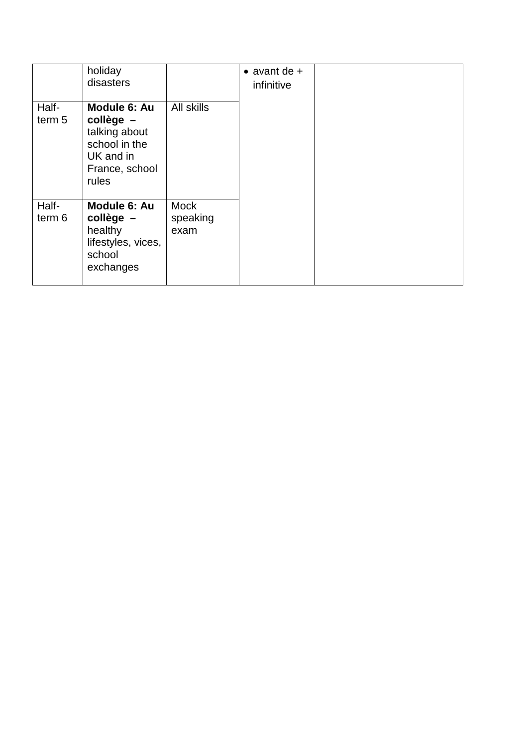|                 | holiday<br>disasters                                                                                  |                                 | $\bullet$ avant de +<br>infinitive |  |
|-----------------|-------------------------------------------------------------------------------------------------------|---------------------------------|------------------------------------|--|
| Half-<br>term 5 | Module 6: Au<br>$college -$<br>talking about<br>school in the<br>UK and in<br>France, school<br>rules | All skills                      |                                    |  |
| Half-<br>term 6 | Module 6: Au<br>collège -<br>healthy<br>lifestyles, vices,<br>school<br>exchanges                     | <b>Mock</b><br>speaking<br>exam |                                    |  |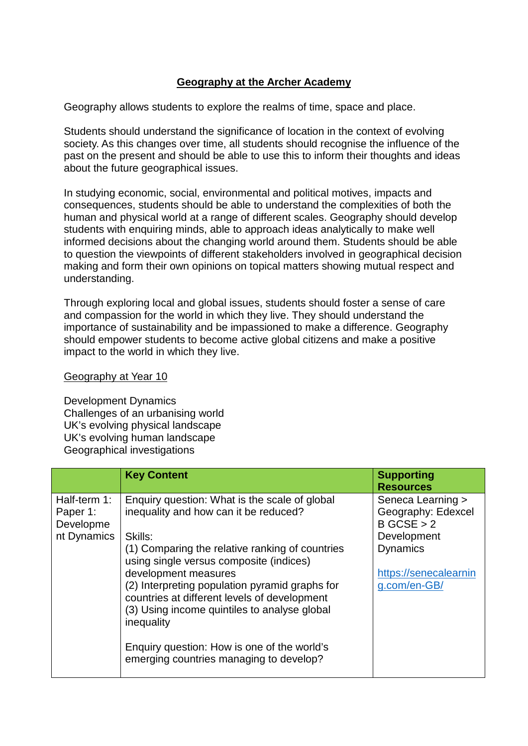# **Geography at the Archer Academy**

Geography allows students to explore the realms of time, space and place.

Students should understand the significance of location in the context of evolving society. As this changes over time, all students should recognise the influence of the past on the present and should be able to use this to inform their thoughts and ideas about the future geographical issues.

In studying economic, social, environmental and political motives, impacts and consequences, students should be able to understand the complexities of both the human and physical world at a range of different scales. Geography should develop students with enquiring minds, able to approach ideas analytically to make well informed decisions about the changing world around them. Students should be able to question the viewpoints of different stakeholders involved in geographical decision making and form their own opinions on topical matters showing mutual respect and understanding.

Through exploring local and global issues, students should foster a sense of care and compassion for the world in which they live. They should understand the importance of sustainability and be impassioned to make a difference. Geography should empower students to become active global citizens and make a positive impact to the world in which they live.

#### Geography at Year 10

Development Dynamics Challenges of an urbanising world UK's evolving physical landscape UK's evolving human landscape Geographical investigations

|                                                      | <b>Key Content</b>                                                                                                                                                                                                                                                                                                                                                                                                                                                                | <b>Supporting</b><br><b>Resources</b>                                                                                            |
|------------------------------------------------------|-----------------------------------------------------------------------------------------------------------------------------------------------------------------------------------------------------------------------------------------------------------------------------------------------------------------------------------------------------------------------------------------------------------------------------------------------------------------------------------|----------------------------------------------------------------------------------------------------------------------------------|
| Half-term 1:<br>Paper 1:<br>Developme<br>nt Dynamics | Enquiry question: What is the scale of global<br>inequality and how can it be reduced?<br>Skills:<br>(1) Comparing the relative ranking of countries<br>using single versus composite (indices)<br>development measures<br>(2) Interpreting population pyramid graphs for<br>countries at different levels of development<br>(3) Using income quintiles to analyse global<br>inequality<br>Enquiry question: How is one of the world's<br>emerging countries managing to develop? | Seneca Learning ><br>Geography: Edexcel<br>B GCSE > 2<br>Development<br><b>Dynamics</b><br>https://senecalearnin<br>g.com/en-GB/ |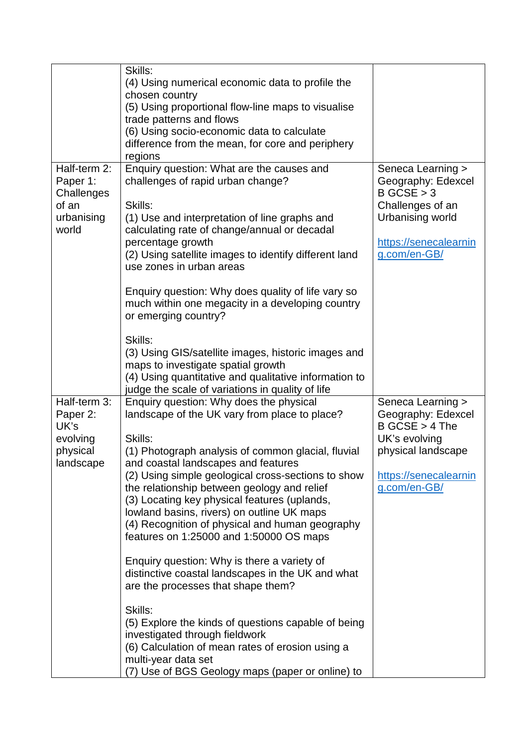|                                                 | Skills:                                                                                                                                                                                                |                                                                               |
|-------------------------------------------------|--------------------------------------------------------------------------------------------------------------------------------------------------------------------------------------------------------|-------------------------------------------------------------------------------|
|                                                 | (4) Using numerical economic data to profile the                                                                                                                                                       |                                                                               |
|                                                 | chosen country                                                                                                                                                                                         |                                                                               |
|                                                 | (5) Using proportional flow-line maps to visualise                                                                                                                                                     |                                                                               |
|                                                 | trade patterns and flows                                                                                                                                                                               |                                                                               |
|                                                 | (6) Using socio-economic data to calculate                                                                                                                                                             |                                                                               |
|                                                 | difference from the mean, for core and periphery                                                                                                                                                       |                                                                               |
|                                                 | regions                                                                                                                                                                                                |                                                                               |
| Half-term 2:<br>Paper 1:<br>Challenges<br>of an | Enquiry question: What are the causes and<br>challenges of rapid urban change?<br>Skills:                                                                                                              | Seneca Learning ><br>Geography: Edexcel<br>$B$ GCSE $> 3$<br>Challenges of an |
| urbanising                                      | (1) Use and interpretation of line graphs and                                                                                                                                                          | Urbanising world                                                              |
| world                                           | calculating rate of change/annual or decadal                                                                                                                                                           |                                                                               |
|                                                 | percentage growth<br>(2) Using satellite images to identify different land<br>use zones in urban areas                                                                                                 | https://senecalearnin<br>g.com/en-GB/                                         |
|                                                 | Enquiry question: Why does quality of life vary so<br>much within one megacity in a developing country<br>or emerging country?                                                                         |                                                                               |
|                                                 | Skills:                                                                                                                                                                                                |                                                                               |
|                                                 | (3) Using GIS/satellite images, historic images and<br>maps to investigate spatial growth<br>(4) Using quantitative and qualitative information to<br>judge the scale of variations in quality of life |                                                                               |
| Half-term 3:                                    | Enquiry question: Why does the physical                                                                                                                                                                | Seneca Learning >                                                             |
| Paper 2:                                        | landscape of the UK vary from place to place?                                                                                                                                                          | Geography: Edexcel                                                            |
| UK's                                            |                                                                                                                                                                                                        | $B GCSE > 4$ The                                                              |
| evolving                                        | Skills:                                                                                                                                                                                                | UK's evolving                                                                 |
| physical<br>landscape                           | (1) Photograph analysis of common glacial, fluvial<br>and coastal landscapes and features                                                                                                              | physical landscape                                                            |
|                                                 | (2) Using simple geological cross-sections to show<br>the relationship between geology and relief                                                                                                      | https://senecalearnin<br>g.com/en-GB/                                         |
|                                                 | (3) Locating key physical features (uplands,                                                                                                                                                           |                                                                               |
|                                                 | lowland basins, rivers) on outline UK maps                                                                                                                                                             |                                                                               |
|                                                 | (4) Recognition of physical and human geography                                                                                                                                                        |                                                                               |
|                                                 | features on 1:25000 and 1:50000 OS maps                                                                                                                                                                |                                                                               |
|                                                 | Enquiry question: Why is there a variety of<br>distinctive coastal landscapes in the UK and what<br>are the processes that shape them?                                                                 |                                                                               |
|                                                 | Skills:                                                                                                                                                                                                |                                                                               |
|                                                 | (5) Explore the kinds of questions capable of being<br>investigated through fieldwork                                                                                                                  |                                                                               |
|                                                 | (6) Calculation of mean rates of erosion using a<br>multi-year data set                                                                                                                                |                                                                               |
|                                                 | (7) Use of BGS Geology maps (paper or online) to                                                                                                                                                       |                                                                               |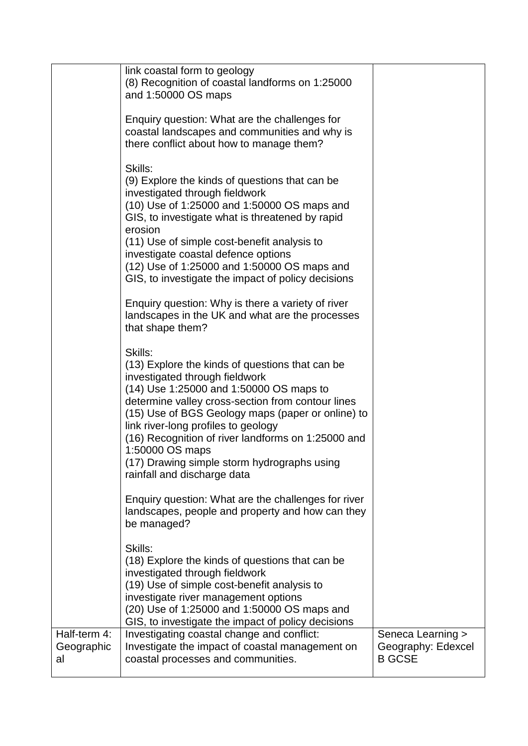|                                  | link coastal form to geology<br>(8) Recognition of coastal landforms on 1:25000<br>and 1:50000 OS maps<br>Enquiry question: What are the challenges for<br>coastal landscapes and communities and why is<br>there conflict about how to manage them?<br>Skills:<br>(9) Explore the kinds of questions that can be<br>investigated through fieldwork<br>(10) Use of 1:25000 and 1:50000 OS maps and<br>GIS, to investigate what is threatened by rapid<br>erosion<br>(11) Use of simple cost-benefit analysis to<br>investigate coastal defence options<br>(12) Use of 1:25000 and 1:50000 OS maps and<br>GIS, to investigate the impact of policy decisions |                                                          |
|----------------------------------|-------------------------------------------------------------------------------------------------------------------------------------------------------------------------------------------------------------------------------------------------------------------------------------------------------------------------------------------------------------------------------------------------------------------------------------------------------------------------------------------------------------------------------------------------------------------------------------------------------------------------------------------------------------|----------------------------------------------------------|
|                                  | Enquiry question: Why is there a variety of river<br>landscapes in the UK and what are the processes<br>that shape them?                                                                                                                                                                                                                                                                                                                                                                                                                                                                                                                                    |                                                          |
|                                  | Skills:<br>(13) Explore the kinds of questions that can be<br>investigated through fieldwork<br>(14) Use 1:25000 and 1:50000 OS maps to<br>determine valley cross-section from contour lines<br>(15) Use of BGS Geology maps (paper or online) to<br>link river-long profiles to geology<br>(16) Recognition of river landforms on 1:25000 and<br>1:50000 OS maps<br>(17) Drawing simple storm hydrographs using<br>rainfall and discharge data                                                                                                                                                                                                             |                                                          |
|                                  | Enquiry question: What are the challenges for river<br>landscapes, people and property and how can they<br>be managed?                                                                                                                                                                                                                                                                                                                                                                                                                                                                                                                                      |                                                          |
|                                  | Skills:<br>(18) Explore the kinds of questions that can be<br>investigated through fieldwork<br>(19) Use of simple cost-benefit analysis to<br>investigate river management options<br>(20) Use of 1:25000 and 1:50000 OS maps and<br>GIS, to investigate the impact of policy decisions                                                                                                                                                                                                                                                                                                                                                                    |                                                          |
| Half-term 4:<br>Geographic<br>al | Investigating coastal change and conflict:<br>Investigate the impact of coastal management on<br>coastal processes and communities.                                                                                                                                                                                                                                                                                                                                                                                                                                                                                                                         | Seneca Learning ><br>Geography: Edexcel<br><b>B GCSE</b> |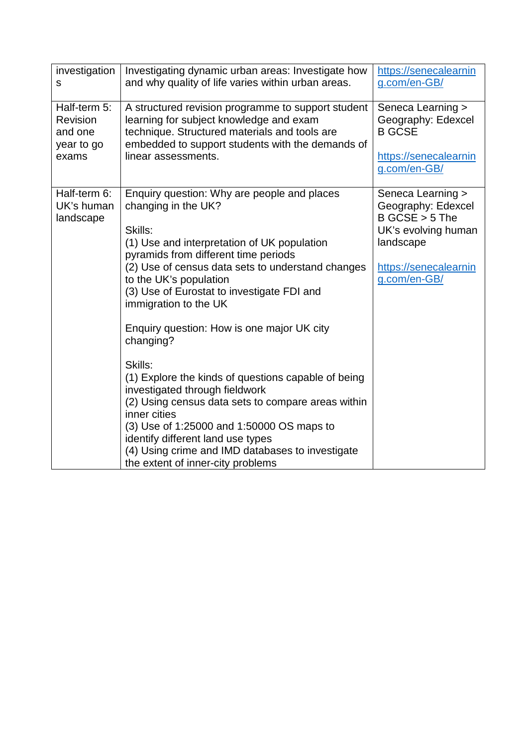| investigation                           | Investigating dynamic urban areas: Investigate how                                                                                                                                                                                                                                                                                                                                                                                                                                                                                                                                                                                                                                                                                         | https://senecalearnin                                                                                                                    |
|-----------------------------------------|--------------------------------------------------------------------------------------------------------------------------------------------------------------------------------------------------------------------------------------------------------------------------------------------------------------------------------------------------------------------------------------------------------------------------------------------------------------------------------------------------------------------------------------------------------------------------------------------------------------------------------------------------------------------------------------------------------------------------------------------|------------------------------------------------------------------------------------------------------------------------------------------|
| S                                       | and why quality of life varies within urban areas.                                                                                                                                                                                                                                                                                                                                                                                                                                                                                                                                                                                                                                                                                         | g.com/en-GB/                                                                                                                             |
| Half-term 5:                            | A structured revision programme to support student                                                                                                                                                                                                                                                                                                                                                                                                                                                                                                                                                                                                                                                                                         | Seneca Learning >                                                                                                                        |
| Revision                                | learning for subject knowledge and exam                                                                                                                                                                                                                                                                                                                                                                                                                                                                                                                                                                                                                                                                                                    | Geography: Edexcel                                                                                                                       |
| and one                                 | technique. Structured materials and tools are                                                                                                                                                                                                                                                                                                                                                                                                                                                                                                                                                                                                                                                                                              | <b>B GCSE</b>                                                                                                                            |
| year to go                              | embedded to support students with the demands of                                                                                                                                                                                                                                                                                                                                                                                                                                                                                                                                                                                                                                                                                           | https://senecalearnin                                                                                                                    |
| exams                                   | linear assessments.                                                                                                                                                                                                                                                                                                                                                                                                                                                                                                                                                                                                                                                                                                                        | g.com/en-GB/                                                                                                                             |
| Half-term 6:<br>UK's human<br>landscape | Enquiry question: Why are people and places<br>changing in the UK?<br>Skills:<br>(1) Use and interpretation of UK population<br>pyramids from different time periods<br>(2) Use of census data sets to understand changes<br>to the UK's population<br>(3) Use of Eurostat to investigate FDI and<br>immigration to the UK<br>Enquiry question: How is one major UK city<br>changing?<br>Skills:<br>(1) Explore the kinds of questions capable of being<br>investigated through fieldwork<br>(2) Using census data sets to compare areas within<br>inner cities<br>(3) Use of 1:25000 and 1:50000 OS maps to<br>identify different land use types<br>(4) Using crime and IMD databases to investigate<br>the extent of inner-city problems | Seneca Learning ><br>Geography: Edexcel<br>$B GCSE > 5$ The<br>UK's evolving human<br>landscape<br>https://senecalearnin<br>g.com/en-GB/ |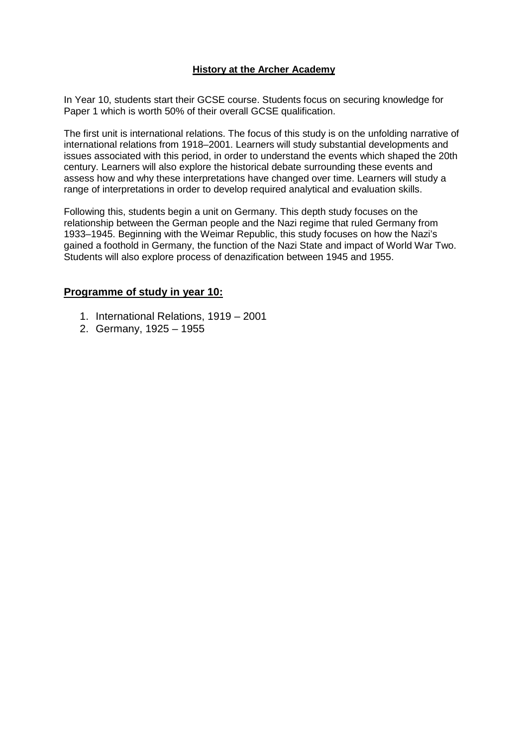#### **History at the Archer Academy**

In Year 10, students start their GCSE course. Students focus on securing knowledge for Paper 1 which is worth 50% of their overall GCSE qualification.

The first unit is international relations. The focus of this study is on the unfolding narrative of international relations from 1918–2001. Learners will study substantial developments and issues associated with this period, in order to understand the events which shaped the 20th century. Learners will also explore the historical debate surrounding these events and assess how and why these interpretations have changed over time. Learners will study a range of interpretations in order to develop required analytical and evaluation skills.

Following this, students begin a unit on Germany. This depth study focuses on the relationship between the German people and the Nazi regime that ruled Germany from 1933–1945. Beginning with the Weimar Republic, this study focuses on how the Nazi's gained a foothold in Germany, the function of the Nazi State and impact of World War Two. Students will also explore process of denazification between 1945 and 1955.

#### **Programme of study in year 10:**

- 1. International Relations, 1919 2001
- 2. Germany, 1925 1955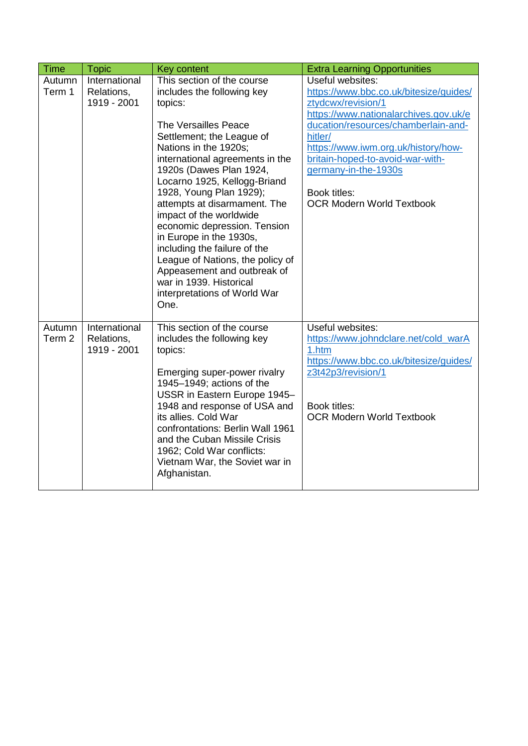| <b>Time</b>                 | <b>Topic</b>                               | Key content                                                                                                                                                                                                                                                                                                                                                                                                                                                                                                                                                            | <b>Extra Learning Opportunities</b>                                                                                                                                                                                                                                                                                                |
|-----------------------------|--------------------------------------------|------------------------------------------------------------------------------------------------------------------------------------------------------------------------------------------------------------------------------------------------------------------------------------------------------------------------------------------------------------------------------------------------------------------------------------------------------------------------------------------------------------------------------------------------------------------------|------------------------------------------------------------------------------------------------------------------------------------------------------------------------------------------------------------------------------------------------------------------------------------------------------------------------------------|
| Autumn<br>Term 1            | International<br>Relations,<br>1919 - 2001 | This section of the course<br>includes the following key<br>topics:<br>The Versailles Peace<br>Settlement; the League of<br>Nations in the 1920s;<br>international agreements in the<br>1920s (Dawes Plan 1924,<br>Locarno 1925, Kellogg-Briand<br>1928, Young Plan 1929);<br>attempts at disarmament. The<br>impact of the worldwide<br>economic depression. Tension<br>in Europe in the 1930s,<br>including the failure of the<br>League of Nations, the policy of<br>Appeasement and outbreak of<br>war in 1939. Historical<br>interpretations of World War<br>One. | Useful websites:<br>https://www.bbc.co.uk/bitesize/guides/<br>ztydcwx/revision/1<br>https://www.nationalarchives.gov.uk/e<br>ducation/resources/chamberlain-and-<br>hitler/<br>https://www.iwm.org.uk/history/how-<br>britain-hoped-to-avoid-war-with-<br>germany-in-the-1930s<br>Book titles:<br><b>OCR Modern World Textbook</b> |
| Autumn<br>Term <sub>2</sub> | International<br>Relations,<br>1919 - 2001 | This section of the course<br>includes the following key<br>topics:<br>Emerging super-power rivalry<br>1945-1949; actions of the<br>USSR in Eastern Europe 1945-<br>1948 and response of USA and<br>its allies. Cold War<br>confrontations: Berlin Wall 1961<br>and the Cuban Missile Crisis<br>1962; Cold War conflicts:<br>Vietnam War, the Soviet war in<br>Afghanistan.                                                                                                                                                                                            | Useful websites:<br>https://www.johndclare.net/cold_warA<br>1.htm<br>https://www.bbc.co.uk/bitesize/guides/<br>z3t42p3/revision/1<br>Book titles:<br><b>OCR Modern World Textbook</b>                                                                                                                                              |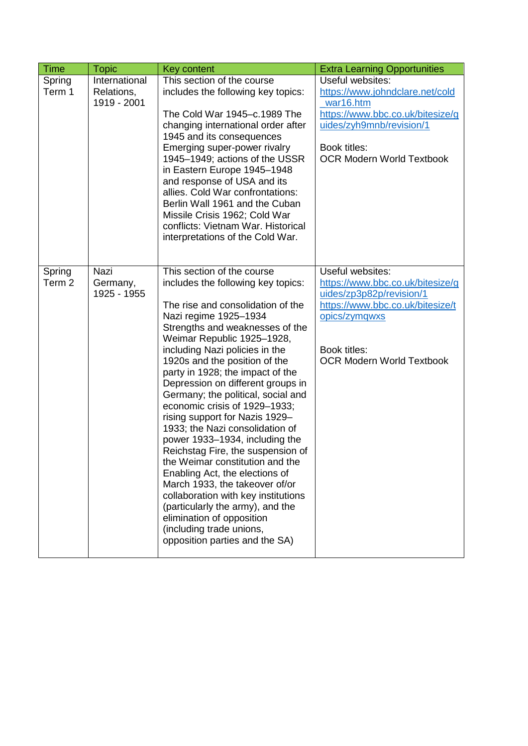| Time             | <b>Topic</b>                               | <b>Key content</b>                                                                                                                                                                                                                                                                                                                                                                                                                                                                                                                                                                                                                                                                                                                                                                                                                          | <b>Extra Learning Opportunities</b>                                                                                                                                                       |
|------------------|--------------------------------------------|---------------------------------------------------------------------------------------------------------------------------------------------------------------------------------------------------------------------------------------------------------------------------------------------------------------------------------------------------------------------------------------------------------------------------------------------------------------------------------------------------------------------------------------------------------------------------------------------------------------------------------------------------------------------------------------------------------------------------------------------------------------------------------------------------------------------------------------------|-------------------------------------------------------------------------------------------------------------------------------------------------------------------------------------------|
| Spring<br>Term 1 | International<br>Relations,<br>1919 - 2001 | This section of the course<br>includes the following key topics:<br>The Cold War 1945-c.1989 The<br>changing international order after<br>1945 and its consequences<br>Emerging super-power rivalry<br>1945-1949; actions of the USSR<br>in Eastern Europe 1945-1948<br>and response of USA and its<br>allies. Cold War confrontations:<br>Berlin Wall 1961 and the Cuban<br>Missile Crisis 1962; Cold War<br>conflicts: Vietnam War. Historical<br>interpretations of the Cold War.                                                                                                                                                                                                                                                                                                                                                        | Useful websites:<br>https://www.johndclare.net/cold<br>war16.htm<br>https://www.bbc.co.uk/bitesize/g<br>uides/zyh9mnb/revision/1<br>Book titles:<br><b>OCR Modern World Textbook</b>      |
| Spring<br>Term 2 | Nazi<br>Germany,<br>1925 - 1955            | This section of the course<br>includes the following key topics:<br>The rise and consolidation of the<br>Nazi regime 1925-1934<br>Strengths and weaknesses of the<br>Weimar Republic 1925-1928,<br>including Nazi policies in the<br>1920s and the position of the<br>party in 1928; the impact of the<br>Depression on different groups in<br>Germany; the political, social and<br>economic crisis of 1929-1933;<br>rising support for Nazis 1929-<br>1933; the Nazi consolidation of<br>power 1933-1934, including the<br>Reichstag Fire, the suspension of<br>the Weimar constitution and the<br>Enabling Act, the elections of<br>March 1933, the takeover of/or<br>collaboration with key institutions<br>(particularly the army), and the<br>elimination of opposition<br>(including trade unions,<br>opposition parties and the SA) | Useful websites:<br>https://www.bbc.co.uk/bitesize/g<br>uides/zp3p82p/revision/1<br>https://www.bbc.co.uk/bitesize/t<br>opics/zymgwxs<br>Book titles:<br><b>OCR Modern World Textbook</b> |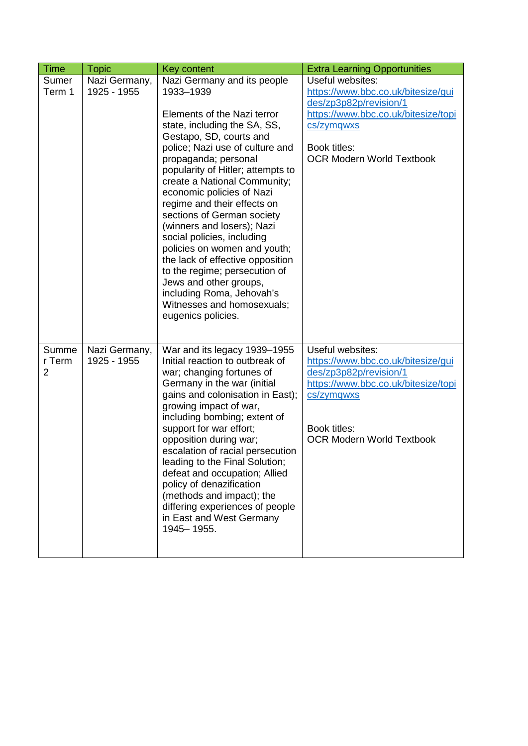| <b>Time</b>                       | <b>Topic</b>                 | Key content                                                                                                                                                                                                                                                                                                                                                                                                                                                                                                                                                                                                                              | <b>Extra Learning Opportunities</b>                                                                                                                                                       |
|-----------------------------------|------------------------------|------------------------------------------------------------------------------------------------------------------------------------------------------------------------------------------------------------------------------------------------------------------------------------------------------------------------------------------------------------------------------------------------------------------------------------------------------------------------------------------------------------------------------------------------------------------------------------------------------------------------------------------|-------------------------------------------------------------------------------------------------------------------------------------------------------------------------------------------|
| Sumer<br>Term 1                   | Nazi Germany,<br>1925 - 1955 | Nazi Germany and its people<br>1933-1939<br>Elements of the Nazi terror<br>state, including the SA, SS,<br>Gestapo, SD, courts and<br>police; Nazi use of culture and<br>propaganda; personal<br>popularity of Hitler; attempts to<br>create a National Community;<br>economic policies of Nazi<br>regime and their effects on<br>sections of German society<br>(winners and losers); Nazi<br>social policies, including<br>policies on women and youth;<br>the lack of effective opposition<br>to the regime; persecution of<br>Jews and other groups,<br>including Roma, Jehovah's<br>Witnesses and homosexuals;<br>eugenics policies. | Useful websites:<br>https://www.bbc.co.uk/bitesize/gui<br>des/zp3p82p/revision/1<br>https://www.bbc.co.uk/bitesize/topi<br>cs/zymgwxs<br>Book titles:<br><b>OCR Modern World Textbook</b> |
| Summe<br>r Term<br>$\overline{2}$ | Nazi Germany,<br>1925 - 1955 | War and its legacy 1939–1955<br>Initial reaction to outbreak of<br>war; changing fortunes of<br>Germany in the war (initial<br>gains and colonisation in East);<br>growing impact of war,<br>including bombing; extent of<br>support for war effort;<br>opposition during war;<br>escalation of racial persecution<br>leading to the Final Solution;<br>defeat and occupation; Allied<br>policy of denazification<br>(methods and impact); the<br>differing experiences of people<br>in East and West Germany<br>1945-1955.                                                                                                              | Useful websites:<br>https://www.bbc.co.uk/bitesize/gui<br>des/zp3p82p/revision/1<br>https://www.bbc.co.uk/bitesize/topi<br>cs/zymgwxs<br>Book titles:<br><b>OCR Modern World Textbook</b> |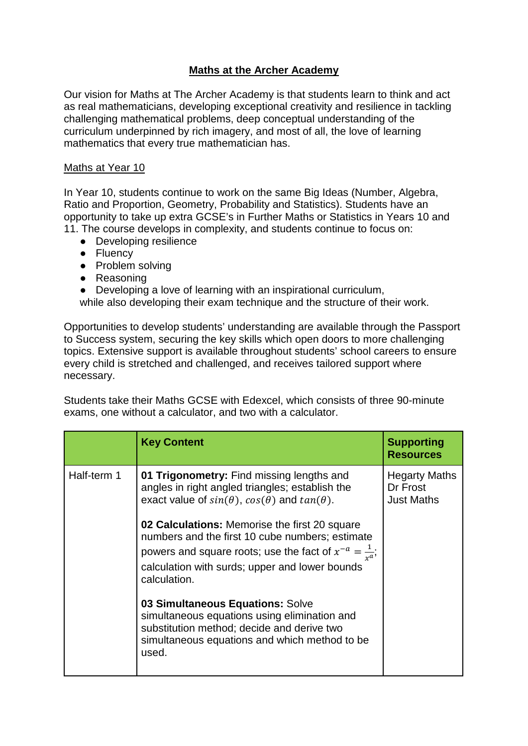# **Maths at the Archer Academy**

Our vision for Maths at The Archer Academy is that students learn to think and act as real mathematicians, developing exceptional creativity and resilience in tackling challenging mathematical problems, deep conceptual understanding of the curriculum underpinned by rich imagery, and most of all, the love of learning mathematics that every true mathematician has.

#### Maths at Year 10

In Year 10, students continue to work on the same Big Ideas (Number, Algebra, Ratio and Proportion, Geometry, Probability and Statistics). Students have an opportunity to take up extra GCSE's in Further Maths or Statistics in Years 10 and 11. The course develops in complexity, and students continue to focus on:

- Developing resilience
- Fluency
- Problem solving
- Reasoning
- Developing a love of learning with an inspirational curriculum,

while also developing their exam technique and the structure of their work.

Opportunities to develop students' understanding are available through the Passport to Success system, securing the key skills which open doors to more challenging topics. Extensive support is available throughout students' school careers to ensure every child is stretched and challenged, and receives tailored support where necessary.

Students take their Maths GCSE with Edexcel, which consists of three 90-minute exams, one without a calculator, and two with a calculator.

|             | <b>Key Content</b>                                                                                                                                                                                                                        | <b>Supporting</b><br><b>Resources</b>                 |
|-------------|-------------------------------------------------------------------------------------------------------------------------------------------------------------------------------------------------------------------------------------------|-------------------------------------------------------|
| Half-term 1 | 01 Trigonometry: Find missing lengths and<br>angles in right angled triangles; establish the<br>exact value of $sin(\theta)$ , $cos(\theta)$ and $tan(\theta)$ .                                                                          | <b>Hegarty Maths</b><br>Dr Frost<br><b>Just Maths</b> |
|             | 02 Calculations: Memorise the first 20 square<br>numbers and the first 10 cube numbers; estimate<br>powers and square roots; use the fact of $x^{-a} = \frac{1}{x^a}$ ;<br>calculation with surds; upper and lower bounds<br>calculation. |                                                       |
|             | 03 Simultaneous Equations: Solve<br>simultaneous equations using elimination and<br>substitution method; decide and derive two<br>simultaneous equations and which method to be<br>used.                                                  |                                                       |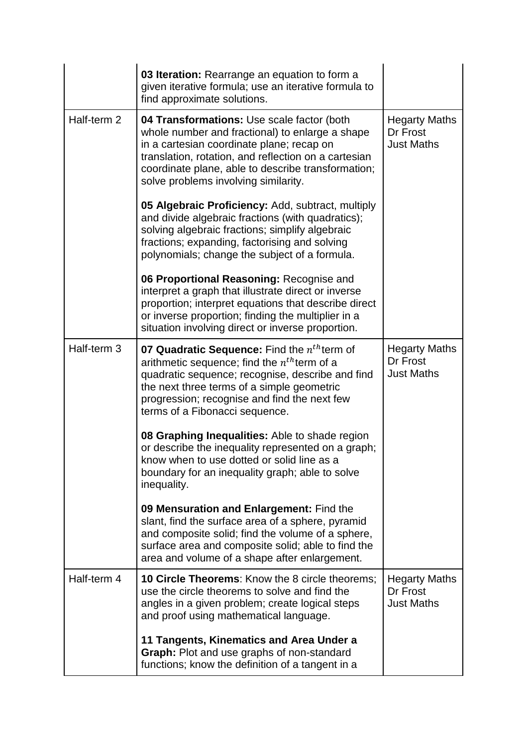|             | 03 Iteration: Rearrange an equation to form a<br>given iterative formula; use an iterative formula to<br>find approximate solutions.                                                                                                                                                             |                                                       |
|-------------|--------------------------------------------------------------------------------------------------------------------------------------------------------------------------------------------------------------------------------------------------------------------------------------------------|-------------------------------------------------------|
| Half-term 2 | 04 Transformations: Use scale factor (both<br>whole number and fractional) to enlarge a shape<br>in a cartesian coordinate plane; recap on<br>translation, rotation, and reflection on a cartesian<br>coordinate plane, able to describe transformation;<br>solve problems involving similarity. | <b>Hegarty Maths</b><br>Dr Frost<br><b>Just Maths</b> |
|             | 05 Algebraic Proficiency: Add, subtract, multiply<br>and divide algebraic fractions (with quadratics);<br>solving algebraic fractions; simplify algebraic<br>fractions; expanding, factorising and solving<br>polynomials; change the subject of a formula.                                      |                                                       |
|             | 06 Proportional Reasoning: Recognise and<br>interpret a graph that illustrate direct or inverse<br>proportion; interpret equations that describe direct<br>or inverse proportion; finding the multiplier in a<br>situation involving direct or inverse proportion.                               |                                                       |
| Half-term 3 | 07 Quadratic Sequence: Find the $nth$ term of<br>arithmetic sequence; find the $n^{th}$ term of a<br>quadratic sequence; recognise, describe and find<br>the next three terms of a simple geometric<br>progression; recognise and find the next few<br>terms of a Fibonacci sequence.            | <b>Hegarty Maths</b><br>Dr Frost<br><b>Just Maths</b> |
|             | 08 Graphing Inequalities: Able to shade region<br>or describe the inequality represented on a graph;<br>know when to use dotted or solid line as a<br>boundary for an inequality graph; able to solve<br>inequality.                                                                             |                                                       |
|             | 09 Mensuration and Enlargement: Find the<br>slant, find the surface area of a sphere, pyramid<br>and composite solid; find the volume of a sphere,<br>surface area and composite solid; able to find the<br>area and volume of a shape after enlargement.                                        |                                                       |
| Half-term 4 | <b>10 Circle Theorems:</b> Know the 8 circle theorems;<br>use the circle theorems to solve and find the<br>angles in a given problem; create logical steps<br>and proof using mathematical language.                                                                                             | <b>Hegarty Maths</b><br>Dr Frost<br><b>Just Maths</b> |
|             | 11 Tangents, Kinematics and Area Under a<br>Graph: Plot and use graphs of non-standard<br>functions; know the definition of a tangent in a                                                                                                                                                       |                                                       |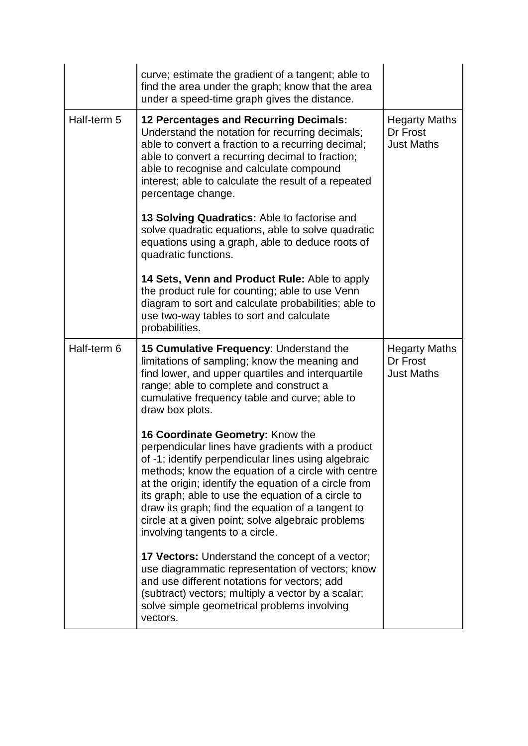|             | curve; estimate the gradient of a tangent; able to<br>find the area under the graph; know that the area<br>under a speed-time graph gives the distance.                                                                                                                                                                                                                                                                                                        |                                                       |
|-------------|----------------------------------------------------------------------------------------------------------------------------------------------------------------------------------------------------------------------------------------------------------------------------------------------------------------------------------------------------------------------------------------------------------------------------------------------------------------|-------------------------------------------------------|
| Half-term 5 | <b>12 Percentages and Recurring Decimals:</b><br>Understand the notation for recurring decimals;<br>able to convert a fraction to a recurring decimal;<br>able to convert a recurring decimal to fraction;<br>able to recognise and calculate compound<br>interest; able to calculate the result of a repeated<br>percentage change.                                                                                                                           | <b>Hegarty Maths</b><br>Dr Frost<br><b>Just Maths</b> |
|             | 13 Solving Quadratics: Able to factorise and<br>solve quadratic equations, able to solve quadratic<br>equations using a graph, able to deduce roots of<br>quadratic functions.                                                                                                                                                                                                                                                                                 |                                                       |
|             | 14 Sets, Venn and Product Rule: Able to apply<br>the product rule for counting; able to use Venn<br>diagram to sort and calculate probabilities; able to<br>use two-way tables to sort and calculate<br>probabilities.                                                                                                                                                                                                                                         |                                                       |
| Half-term 6 | 15 Cumulative Frequency: Understand the<br>limitations of sampling; know the meaning and<br>find lower, and upper quartiles and interquartile<br>range; able to complete and construct a<br>cumulative frequency table and curve; able to<br>draw box plots.                                                                                                                                                                                                   | <b>Hegarty Maths</b><br>Dr Frost<br><b>Just Maths</b> |
|             | 16 Coordinate Geometry: Know the<br>perpendicular lines have gradients with a product<br>of -1; identify perpendicular lines using algebraic<br>methods; know the equation of a circle with centre<br>at the origin; identify the equation of a circle from<br>its graph; able to use the equation of a circle to<br>draw its graph; find the equation of a tangent to<br>circle at a given point; solve algebraic problems<br>involving tangents to a circle. |                                                       |
|             | <b>17 Vectors:</b> Understand the concept of a vector;<br>use diagrammatic representation of vectors; know<br>and use different notations for vectors; add<br>(subtract) vectors; multiply a vector by a scalar;<br>solve simple geometrical problems involving<br>vectors.                                                                                                                                                                                    |                                                       |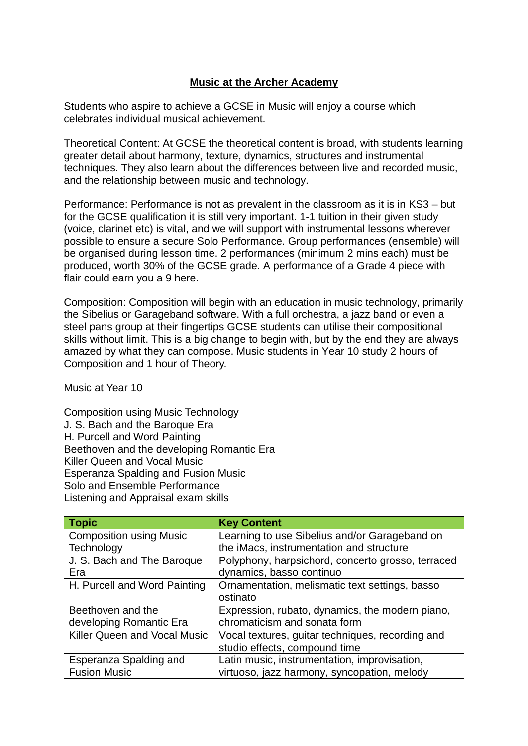### **Music at the Archer Academy**

Students who aspire to achieve a GCSE in Music will enjoy a course which celebrates individual musical achievement.

Theoretical Content: At GCSE the theoretical content is broad, with students learning greater detail about harmony, texture, dynamics, structures and instrumental techniques. They also learn about the differences between live and recorded music, and the relationship between music and technology.

Performance: Performance is not as prevalent in the classroom as it is in KS3 – but for the GCSE qualification it is still very important. 1-1 tuition in their given study (voice, clarinet etc) is vital, and we will support with instrumental lessons wherever possible to ensure a secure Solo Performance. Group performances (ensemble) will be organised during lesson time. 2 performances (minimum 2 mins each) must be produced, worth 30% of the GCSE grade. A performance of a Grade 4 piece with flair could earn you a 9 here.

Composition: Composition will begin with an education in music technology, primarily the Sibelius or Garageband software. With a full orchestra, a jazz band or even a steel pans group at their fingertips GCSE students can utilise their compositional skills without limit. This is a big change to begin with, but by the end they are always amazed by what they can compose. Music students in Year 10 study 2 hours of Composition and 1 hour of Theory.

Music at Year 10

Composition using Music Technology J. S. Bach and the Baroque Era H. Purcell and Word Painting Beethoven and the developing Romantic Era Killer Queen and Vocal Music Esperanza Spalding and Fusion Music Solo and Ensemble Performance Listening and Appraisal exam skills

| <b>Topic</b>                        | <b>Key Content</b>                                |
|-------------------------------------|---------------------------------------------------|
| <b>Composition using Music</b>      | Learning to use Sibelius and/or Garageband on     |
| Technology                          | the iMacs, instrumentation and structure          |
| J. S. Bach and The Baroque          | Polyphony, harpsichord, concerto grosso, terraced |
| Era                                 | dynamics, basso continuo                          |
| H. Purcell and Word Painting        | Ornamentation, melismatic text settings, basso    |
|                                     | ostinato                                          |
| Beethoven and the                   | Expression, rubato, dynamics, the modern piano,   |
| developing Romantic Era             | chromaticism and sonata form                      |
| <b>Killer Queen and Vocal Music</b> | Vocal textures, guitar techniques, recording and  |
|                                     | studio effects, compound time                     |
| Esperanza Spalding and              | Latin music, instrumentation, improvisation,      |
| <b>Fusion Music</b>                 | virtuoso, jazz harmony, syncopation, melody       |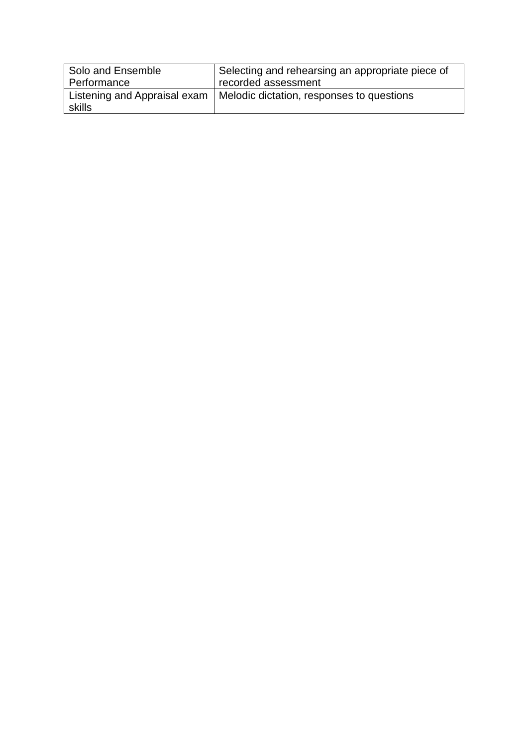| Solo and Ensemble            | Selecting and rehearsing an appropriate piece of |
|------------------------------|--------------------------------------------------|
| Performance                  | recorded assessment                              |
| Listening and Appraisal exam | Melodic dictation, responses to questions        |
| skills                       |                                                  |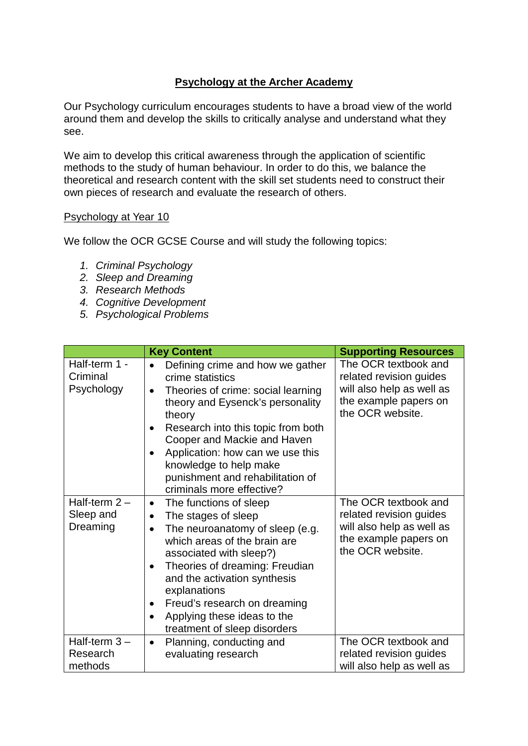## **Psychology at the Archer Academy**

Our Psychology curriculum encourages students to have a broad view of the world around them and develop the skills to critically analyse and understand what they see.

We aim to develop this critical awareness through the application of scientific methods to the study of human behaviour. In order to do this, we balance the theoretical and research content with the skill set students need to construct their own pieces of research and evaluate the research of others.

#### Psychology at Year 10

We follow the OCR GCSE Course and will study the following topics:

- *1. Criminal Psychology*
- *2. Sleep and Dreaming*
- *3. Research Methods*
- *4. Cognitive Development*
- *5. Psychological Problems*

|                                         | <b>Key Content</b>                                                                                                                                                                                                                                                                                                                                                                                         | <b>Supporting Resources</b>                                                                                               |
|-----------------------------------------|------------------------------------------------------------------------------------------------------------------------------------------------------------------------------------------------------------------------------------------------------------------------------------------------------------------------------------------------------------------------------------------------------------|---------------------------------------------------------------------------------------------------------------------------|
| Half-term 1 -<br>Criminal<br>Psychology | Defining crime and how we gather<br>$\bullet$<br>crime statistics<br>Theories of crime: social learning<br>$\bullet$<br>theory and Eysenck's personality<br>theory<br>Research into this topic from both<br>$\bullet$<br>Cooper and Mackie and Haven<br>Application: how can we use this<br>$\bullet$<br>knowledge to help make<br>punishment and rehabilitation of<br>criminals more effective?           | The OCR textbook and<br>related revision guides<br>will also help as well as<br>the example papers on<br>the OCR website. |
| Half-term $2-$<br>Sleep and<br>Dreaming | The functions of sleep<br>$\bullet$<br>The stages of sleep<br>$\bullet$<br>The neuroanatomy of sleep (e.g.<br>$\bullet$<br>which areas of the brain are<br>associated with sleep?)<br>Theories of dreaming: Freudian<br>$\bullet$<br>and the activation synthesis<br>explanations<br>Freud's research on dreaming<br>$\bullet$<br>Applying these ideas to the<br>$\bullet$<br>treatment of sleep disorders | The OCR textbook and<br>related revision guides<br>will also help as well as<br>the example papers on<br>the OCR website. |
| Half-term $3 -$<br>Research<br>methods  | Planning, conducting and<br>$\bullet$<br>evaluating research                                                                                                                                                                                                                                                                                                                                               | The OCR textbook and<br>related revision guides<br>will also help as well as                                              |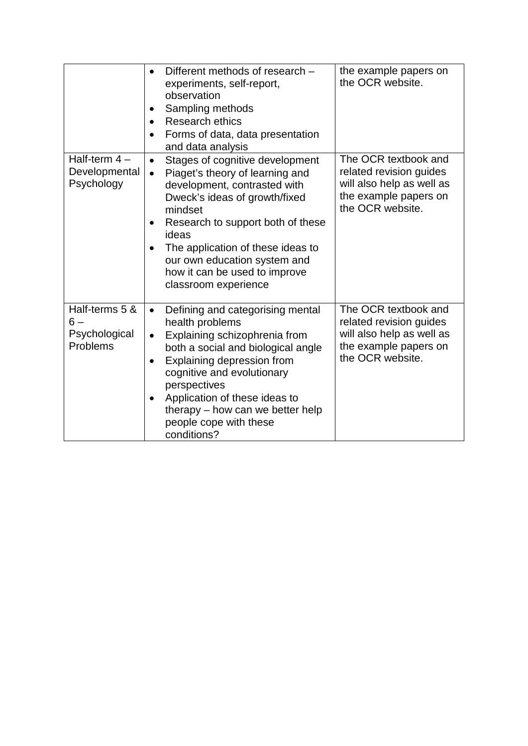|                                                     | Different methods of research -<br>$\bullet$<br>experiments, self-report,<br>observation<br>Sampling methods<br>٠<br>Research ethics<br>$\bullet$<br>Forms of data, data presentation<br>and data analysis                                                                                                                                                                     | the example papers on<br>the OCR website.                                                                                 |
|-----------------------------------------------------|--------------------------------------------------------------------------------------------------------------------------------------------------------------------------------------------------------------------------------------------------------------------------------------------------------------------------------------------------------------------------------|---------------------------------------------------------------------------------------------------------------------------|
| Half-term $4-$<br>Developmental<br>Psychology       | Stages of cognitive development<br>$\bullet$<br>Piaget's theory of learning and<br>$\bullet$<br>development, contrasted with<br>Dweck's ideas of growth/fixed<br>mindset<br>Research to support both of these<br>$\bullet$<br>ideas<br>The application of these ideas to<br>$\bullet$<br>our own education system and<br>how it can be used to improve<br>classroom experience | The OCR textbook and<br>related revision guides<br>will also help as well as<br>the example papers on<br>the OCR website. |
| Half-terms 5 &<br>$6-$<br>Psychological<br>Problems | Defining and categorising mental<br>$\bullet$<br>health problems<br>Explaining schizophrenia from<br>$\bullet$<br>both a social and biological angle<br>Explaining depression from<br>$\bullet$<br>cognitive and evolutionary<br>perspectives<br>Application of these ideas to<br>٠<br>therapy – how can we better help<br>people cope with these<br>conditions?               | The OCR textbook and<br>related revision guides<br>will also help as well as<br>the example papers on<br>the OCR website. |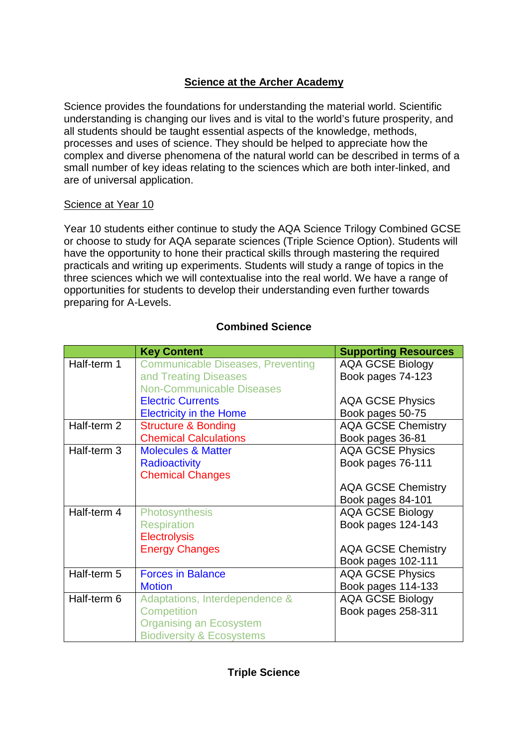# **Science at the Archer Academy**

Science provides the foundations for understanding the material world. Scientific understanding is changing our lives and is vital to the world's future prosperity, and all students should be taught essential aspects of the knowledge, methods, processes and uses of science. They should be helped to appreciate how the complex and diverse phenomena of the natural world can be described in terms of a small number of key ideas relating to the sciences which are both inter-linked, and are of universal application.

### Science at Year 10

Year 10 students either continue to study the AQA Science Trilogy Combined GCSE or choose to study for AQA separate sciences (Triple Science Option). Students will have the opportunity to hone their practical skills through mastering the required practicals and writing up experiments. Students will study a range of topics in the three sciences which we will contextualise into the real world. We have a range of opportunities for students to develop their understanding even further towards preparing for A-Levels.

|             | <b>Key Content</b>                       | <b>Supporting Resources</b> |
|-------------|------------------------------------------|-----------------------------|
| Half-term 1 | <b>Communicable Diseases, Preventing</b> | <b>AQA GCSE Biology</b>     |
|             | and Treating Diseases                    | Book pages 74-123           |
|             | <b>Non-Communicable Diseases</b>         |                             |
|             | <b>Electric Currents</b>                 | <b>AQA GCSE Physics</b>     |
|             | <b>Electricity in the Home</b>           | Book pages 50-75            |
| Half-term 2 | <b>Structure &amp; Bonding</b>           | <b>AQA GCSE Chemistry</b>   |
|             | <b>Chemical Calculations</b>             | Book pages 36-81            |
| Half-term 3 | <b>Molecules &amp; Matter</b>            | <b>AQA GCSE Physics</b>     |
|             | <b>Radioactivity</b>                     | Book pages 76-111           |
|             | <b>Chemical Changes</b>                  |                             |
|             |                                          | <b>AQA GCSE Chemistry</b>   |
|             |                                          | Book pages 84-101           |
| Half-term 4 | Photosynthesis                           | <b>AQA GCSE Biology</b>     |
|             | <b>Respiration</b>                       | Book pages 124-143          |
|             | <b>Electrolysis</b>                      |                             |
|             | <b>Energy Changes</b>                    | <b>AQA GCSE Chemistry</b>   |
|             |                                          | Book pages 102-111          |
| Half-term 5 | <b>Forces in Balance</b>                 | <b>AQA GCSE Physics</b>     |
|             | <b>Motion</b>                            | Book pages 114-133          |
| Half-term 6 | Adaptations, Interdependence &           | <b>AQA GCSE Biology</b>     |
|             | <b>Competition</b>                       | Book pages 258-311          |
|             | <b>Organising an Ecosystem</b>           |                             |
|             | <b>Biodiversity &amp; Ecosystems</b>     |                             |

## **Combined Science**

## **Triple Science**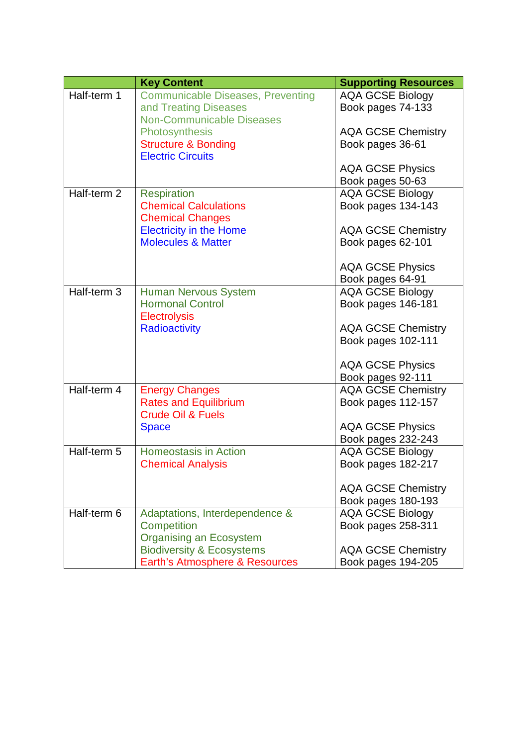|             | <b>Key Content</b>                       | <b>Supporting Resources</b> |
|-------------|------------------------------------------|-----------------------------|
| Half-term 1 | <b>Communicable Diseases, Preventing</b> | <b>AQA GCSE Biology</b>     |
|             | and Treating Diseases                    | Book pages 74-133           |
|             | <b>Non-Communicable Diseases</b>         |                             |
|             | Photosynthesis                           | <b>AQA GCSE Chemistry</b>   |
|             | <b>Structure &amp; Bonding</b>           | Book pages 36-61            |
|             | <b>Electric Circuits</b>                 |                             |
|             |                                          | <b>AQA GCSE Physics</b>     |
|             |                                          | Book pages 50-63            |
| Half-term 2 | <b>Respiration</b>                       | <b>AQA GCSE Biology</b>     |
|             | <b>Chemical Calculations</b>             | Book pages 134-143          |
|             | <b>Chemical Changes</b>                  |                             |
|             | <b>Electricity in the Home</b>           | <b>AQA GCSE Chemistry</b>   |
|             | <b>Molecules &amp; Matter</b>            | Book pages 62-101           |
|             |                                          |                             |
|             |                                          | <b>AQA GCSE Physics</b>     |
|             |                                          | Book pages 64-91            |
| Half-term 3 | <b>Human Nervous System</b>              | <b>AQA GCSE Biology</b>     |
|             | <b>Hormonal Control</b>                  | Book pages 146-181          |
|             | <b>Electrolysis</b>                      |                             |
|             | <b>Radioactivity</b>                     | <b>AQA GCSE Chemistry</b>   |
|             |                                          | Book pages 102-111          |
|             |                                          |                             |
|             |                                          | <b>AQA GCSE Physics</b>     |
|             |                                          | Book pages 92-111           |
| Half-term 4 | <b>Energy Changes</b>                    | <b>AQA GCSE Chemistry</b>   |
|             | <b>Rates and Equilibrium</b>             | Book pages 112-157          |
|             | <b>Crude Oil &amp; Fuels</b>             |                             |
|             | <b>Space</b>                             | <b>AQA GCSE Physics</b>     |
|             |                                          | Book pages 232-243          |
| Half-term 5 | <b>Homeostasis in Action</b>             | <b>AQA GCSE Biology</b>     |
|             | <b>Chemical Analysis</b>                 | Book pages 182-217          |
|             |                                          |                             |
|             |                                          | <b>AQA GCSE Chemistry</b>   |
|             |                                          | Book pages 180-193          |
| Half-term 6 | Adaptations, Interdependence &           | <b>AQA GCSE Biology</b>     |
|             | Competition                              | Book pages 258-311          |
|             | <b>Organising an Ecosystem</b>           |                             |
|             | <b>Biodiversity &amp; Ecosystems</b>     | <b>AQA GCSE Chemistry</b>   |
|             | Earth's Atmosphere & Resources           | Book pages 194-205          |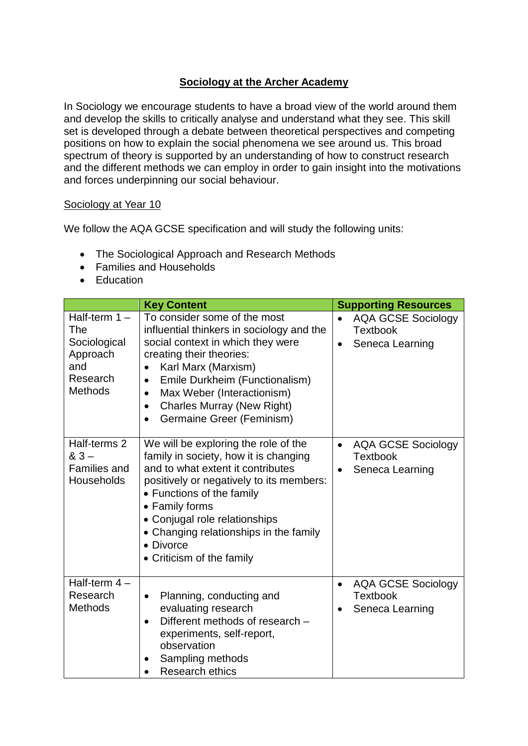# **Sociology at the Archer Academy**

In Sociology we encourage students to have a broad view of the world around them and develop the skills to critically analyse and understand what they see. This skill set is developed through a debate between theoretical perspectives and competing positions on how to explain the social phenomena we see around us. This broad spectrum of theory is supported by an understanding of how to construct research and the different methods we can employ in order to gain insight into the motivations and forces underpinning our social behaviour.

#### Sociology at Year 10

We follow the AQA GCSE specification and will study the following units:

- The Sociological Approach and Research Methods
- Families and Households
- Education

|                                                                                         | <b>Key Content</b>                                                                                                                                                                                                                                                                                                                         | <b>Supporting Resources</b>                                                               |
|-----------------------------------------------------------------------------------------|--------------------------------------------------------------------------------------------------------------------------------------------------------------------------------------------------------------------------------------------------------------------------------------------------------------------------------------------|-------------------------------------------------------------------------------------------|
| Half-term $1 -$<br>The<br>Sociological<br>Approach<br>and<br>Research<br><b>Methods</b> | To consider some of the most<br>influential thinkers in sociology and the<br>social context in which they were<br>creating their theories:<br>Karl Marx (Marxism)<br>Emile Durkheim (Functionalism)<br>$\bullet$<br>Max Weber (Interactionism)<br>$\bullet$<br><b>Charles Murray (New Right)</b><br>$\bullet$<br>Germaine Greer (Feminism) | <b>AQA GCSE Sociology</b><br>$\bullet$<br><b>Textbook</b><br>Seneca Learning<br>$\bullet$ |
| Half-terms 2<br>$83 -$<br><b>Families and</b><br>Households                             | We will be exploring the role of the<br>family in society, how it is changing<br>and to what extent it contributes<br>positively or negatively to its members:<br>• Functions of the family<br>• Family forms<br>• Conjugal role relationships<br>• Changing relationships in the family<br>• Divorce<br>• Criticism of the family         | <b>AQA GCSE Sociology</b><br>$\bullet$<br><b>Textbook</b><br>Seneca Learning              |
| Half-term $4-$<br>Research<br><b>Methods</b>                                            | Planning, conducting and<br>$\bullet$<br>evaluating research<br>Different methods of research -<br>$\bullet$<br>experiments, self-report,<br>observation<br>Sampling methods<br><b>Research ethics</b>                                                                                                                                     | <b>AQA GCSE Sociology</b><br>$\bullet$<br><b>Textbook</b><br>Seneca Learning              |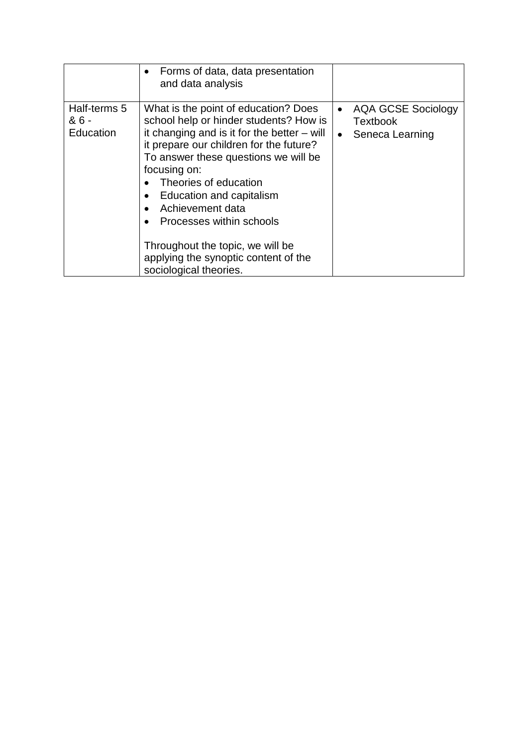|                                    | Forms of data, data presentation<br>$\bullet$<br>and data analysis                                                                                                                                                                                                                                                                                                                                                                            |                                                                                           |
|------------------------------------|-----------------------------------------------------------------------------------------------------------------------------------------------------------------------------------------------------------------------------------------------------------------------------------------------------------------------------------------------------------------------------------------------------------------------------------------------|-------------------------------------------------------------------------------------------|
| Half-terms 5<br>& 6 -<br>Education | What is the point of education? Does<br>school help or hinder students? How is<br>it changing and is it for the better $-$ will<br>it prepare our children for the future?<br>To answer these questions we will be<br>focusing on:<br>Theories of education<br>Education and capitalism<br>Achievement data<br>Processes within schools<br>Throughout the topic, we will be<br>applying the synoptic content of the<br>sociological theories. | <b>AQA GCSE Sociology</b><br>$\bullet$<br><b>Textbook</b><br>Seneca Learning<br>$\bullet$ |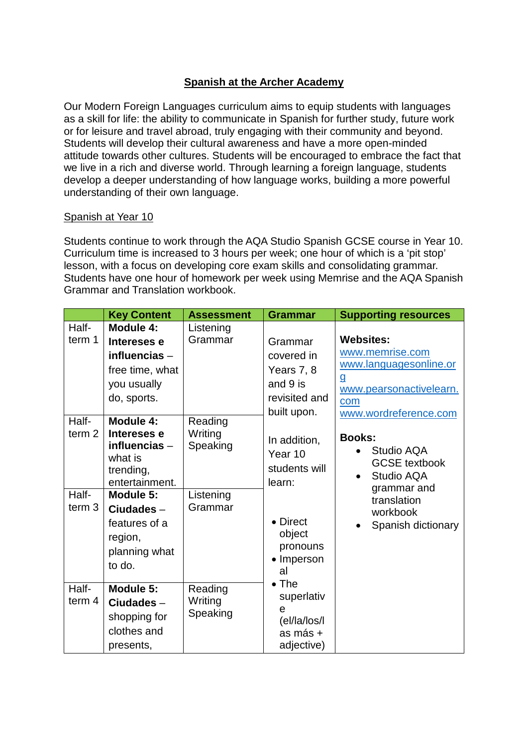# **Spanish at the Archer Academy**

Our Modern Foreign Languages curriculum aims to equip students with languages as a skill for life: the ability to communicate in Spanish for further study, future work or for leisure and travel abroad, truly engaging with their community and beyond. Students will develop their cultural awareness and have a more open-minded attitude towards other cultures. Students will be encouraged to embrace the fact that we live in a rich and diverse world. Through learning a foreign language, students develop a deeper understanding of how language works, building a more powerful understanding of their own language.

#### Spanish at Year 10

Students continue to work through the AQA Studio Spanish GCSE course in Year 10. Curriculum time is increased to 3 hours per week; one hour of which is a 'pit stop' lesson, with a focus on developing core exam skills and consolidating grammar. Students have one hour of homework per week using Memrise and the AQA Spanish Grammar and Translation workbook.

|                                                          | <b>Key Content</b>                                                                                                                                                     | <b>Assessment</b>                                      | <b>Grammar</b>                                                                                           | <b>Supporting resources</b>                                                                                                       |                                                                            |
|----------------------------------------------------------|------------------------------------------------------------------------------------------------------------------------------------------------------------------------|--------------------------------------------------------|----------------------------------------------------------------------------------------------------------|-----------------------------------------------------------------------------------------------------------------------------------|----------------------------------------------------------------------------|
| Half-<br>term 1                                          | Module 4:<br>Intereses e<br>influencias $-$<br>free time, what<br>you usually<br>do, sports.                                                                           | Listening<br>Grammar                                   | Grammar<br>covered in<br>Years 7, 8<br>and 9 is<br>revisited and                                         | <b>Websites:</b><br>www.memrise.com<br>g<br>com<br>built upon.                                                                    | www.languagesonline.or<br>www.pearsonactivelearn.<br>www.wordreference.com |
| Half-<br>term <sub>2</sub><br>Half-<br>term <sub>3</sub> | Module 4:<br>Intereses e<br>influencias-<br>what is<br>trending,<br>entertainment.<br>Module 5:<br>$Ciudades -$<br>features of a<br>region,<br>planning what<br>to do. | Reading<br>Writing<br>Speaking<br>Listening<br>Grammar | In addition,<br>Year 10<br>students will<br>learn:<br>• Direct<br>object<br>pronouns<br>• Imperson<br>al | <b>Books:</b><br>Studio AQA<br><b>GCSE</b> textbook<br>Studio AQA<br>grammar and<br>translation<br>workbook<br>Spanish dictionary |                                                                            |
| Half-<br>term $4$                                        | Module 5:<br>Ciudades-<br>shopping for<br>clothes and<br>presents,                                                                                                     | Reading<br>Writing<br>Speaking                         | $\bullet$ The<br>superlativ<br>e<br>(el/la/los/l<br>as más +<br>adjective)                               |                                                                                                                                   |                                                                            |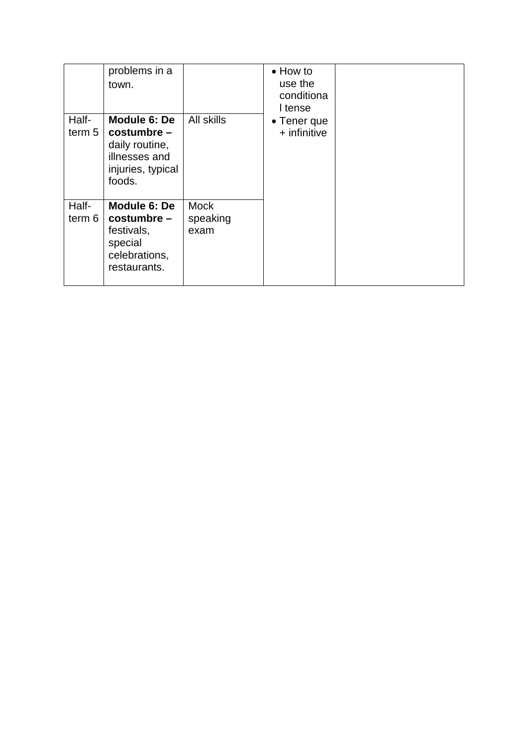|                            | problems in a<br>town.                                                                          |                                 | $\bullet$ How to<br>use the<br>conditiona<br>I tense |  |
|----------------------------|-------------------------------------------------------------------------------------------------|---------------------------------|------------------------------------------------------|--|
| Half-<br>term <sub>5</sub> | Module 6: De<br>$costumber -$<br>daily routine,<br>illnesses and<br>injuries, typical<br>foods. | All skills                      | $\bullet$ Tener que<br>$+$ infinitive                |  |
| Half-<br>term 6            | Module 6: De<br>$costumber -$<br>festivals,<br>special<br>celebrations,<br>restaurants.         | <b>Mock</b><br>speaking<br>exam |                                                      |  |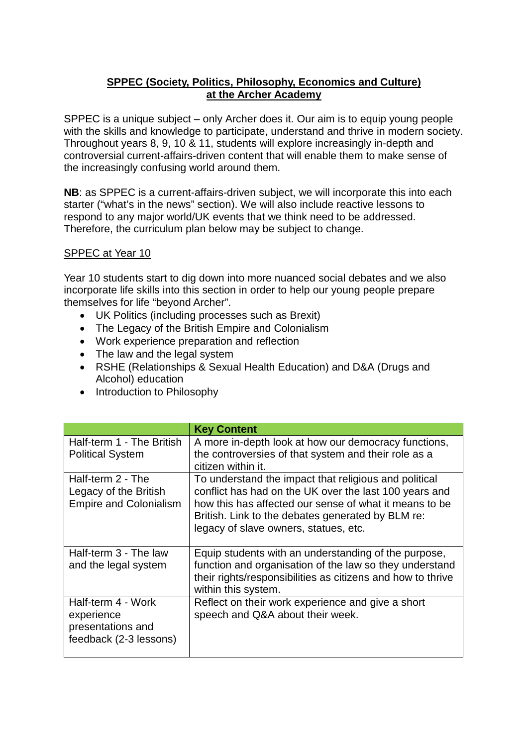## **SPPEC (Society, Politics, Philosophy, Economics and Culture) at the Archer Academy**

SPPEC is a unique subject – only Archer does it. Our aim is to equip young people with the skills and knowledge to participate, understand and thrive in modern society. Throughout years 8, 9, 10 & 11, students will explore increasingly in-depth and controversial current-affairs-driven content that will enable them to make sense of the increasingly confusing world around them.

**NB**: as SPPEC is a current-affairs-driven subject, we will incorporate this into each starter ("what's in the news" section). We will also include reactive lessons to respond to any major world/UK events that we think need to be addressed. Therefore, the curriculum plan below may be subject to change.

### SPPEC at Year 10

Year 10 students start to dig down into more nuanced social debates and we also incorporate life skills into this section in order to help our young people prepare themselves for life "beyond Archer".

- UK Politics (including processes such as Brexit)
- The Legacy of the British Empire and Colonialism
- Work experience preparation and reflection
- The law and the legal system
- RSHE (Relationships & Sexual Health Education) and D&A (Drugs and Alcohol) education
- Introduction to Philosophy

|                                                                                 | <b>Key Content</b>                                                                                                                                                                                                                                                      |
|---------------------------------------------------------------------------------|-------------------------------------------------------------------------------------------------------------------------------------------------------------------------------------------------------------------------------------------------------------------------|
| Half-term 1 - The British<br><b>Political System</b>                            | A more in-depth look at how our democracy functions,<br>the controversies of that system and their role as a<br>citizen within it.                                                                                                                                      |
| Half-term 2 - The<br>Legacy of the British<br><b>Empire and Colonialism</b>     | To understand the impact that religious and political<br>conflict has had on the UK over the last 100 years and<br>how this has affected our sense of what it means to be<br>British. Link to the debates generated by BLM re:<br>legacy of slave owners, statues, etc. |
| Half-term 3 - The law<br>and the legal system                                   | Equip students with an understanding of the purpose,<br>function and organisation of the law so they understand<br>their rights/responsibilities as citizens and how to thrive<br>within this system.                                                                   |
| Half-term 4 - Work<br>experience<br>presentations and<br>feedback (2-3 lessons) | Reflect on their work experience and give a short<br>speech and Q&A about their week.                                                                                                                                                                                   |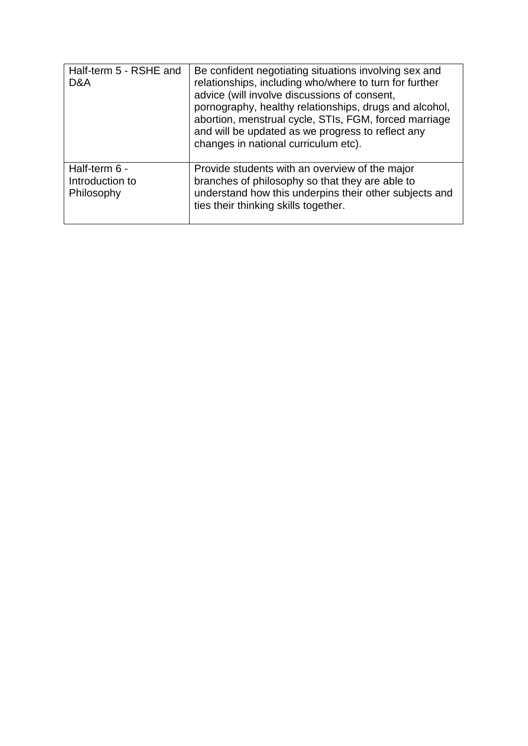| Half-term 5 - RSHE and<br>D&A                  | Be confident negotiating situations involving sex and<br>relationships, including who/where to turn for further<br>advice (will involve discussions of consent,<br>pornography, healthy relationships, drugs and alcohol,<br>abortion, menstrual cycle, STIs, FGM, forced marriage<br>and will be updated as we progress to reflect any<br>changes in national curriculum etc). |
|------------------------------------------------|---------------------------------------------------------------------------------------------------------------------------------------------------------------------------------------------------------------------------------------------------------------------------------------------------------------------------------------------------------------------------------|
| Half-term 6 -<br>Introduction to<br>Philosophy | Provide students with an overview of the major<br>branches of philosophy so that they are able to<br>understand how this underpins their other subjects and<br>ties their thinking skills together.                                                                                                                                                                             |